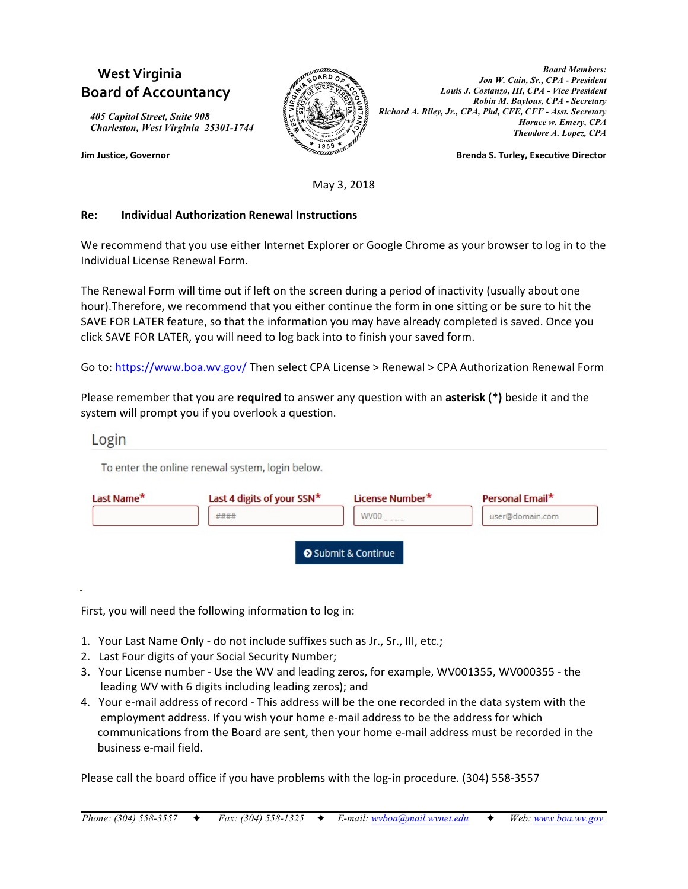# **West Virginia Board of Accountancy**

*405 Capitol Street, Suite 908 Charleston, West Virginia 25301-1744*



*Board Members: Jon W. Cain, Sr., CPA - President Louis J. Costanzo, III, CPA - Vice President Robin M. Baylous, CPA - Secretary Richard A. Riley, Jr., CPA, Phd, CFE, CFF - Asst. Secretary Horace w. Emery, CPA Theodore A. Lopez, CPA*

**Jim Justice, Governor Brenda S. Turley, Executive Director**

May 3, 2018

#### **Re: Individual Authorization Renewal Instructions**

We recommend that you use either Internet Explorer or Google Chrome as your browser to log in to the Individual License Renewal Form.

The Renewal Form will time out if left on the screen during a period of inactivity (usually about one hour).Therefore, we recommend that you either continue the form in one sitting or be sure to hit the SAVE FOR LATER feature, so that the information you may have already completed is saved. Once you click SAVE FOR LATER, you will need to log back into to finish your saved form.

Go to: https://www.boa.wv.gov/ Then select CPA License > Renewal > CPA Authorization Renewal Form

Please remember that you are **required** to answer any question with an **asterisk (\*)** beside it and the system will prompt you if you overlook a question.

## Login

To enter the online renewal system, login below.

| Last Name* | Last 4 digits of your SSN* | License Number*   | Personal Email* |
|------------|----------------------------|-------------------|-----------------|
|            | ####                       | WV00              | user@domain.com |
|            |                            |                   |                 |
|            |                            | Submit & Continue |                 |

First, you will need the following information to log in:

- 1. Your Last Name Only do not include suffixes such as Jr., Sr., III, etc.;
- 2. Last Four digits of your Social Security Number;
- 3. Your License number Use the WV and leading zeros, for example, WV001355, WV000355 the leading WV with 6 digits including leading zeros); and
- 4. Your e-mail address of record This address will be the one recorded in the data system with the employment address. If you wish your home e-mail address to be the address for which communications from the Board are sent, then your home e-mail address must be recorded in the business e-mail field.

Please call the board office if you have problems with the log-in procedure. (304) 558-3557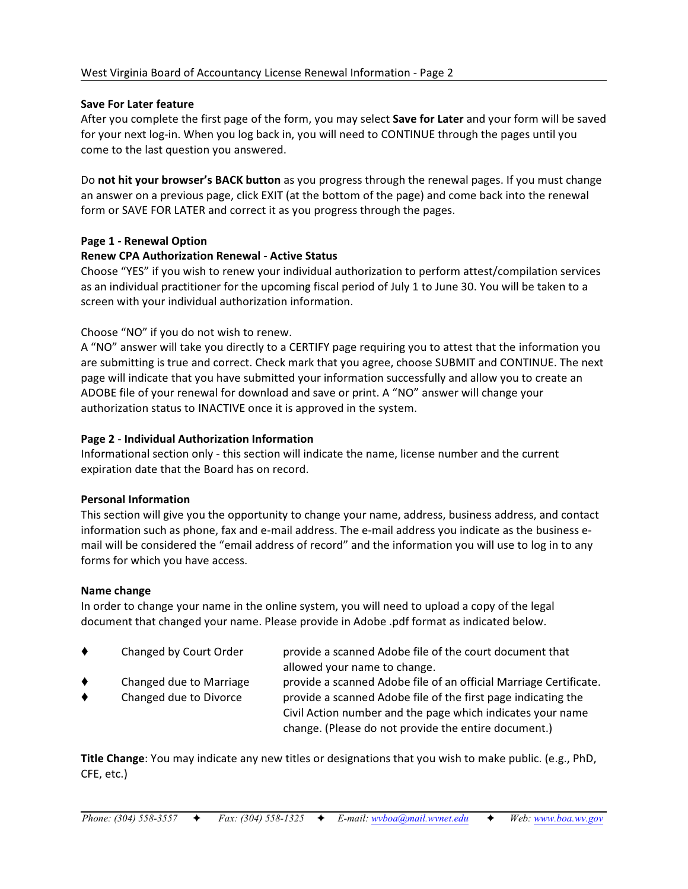#### **Save For Later feature**

After you complete the first page of the form, you may select **Save for Later** and your form will be saved for your next log-in. When you log back in, you will need to CONTINUE through the pages until you come to the last question you answered.

Do **not hit your browser's BACK button** as you progress through the renewal pages. If you must change an answer on a previous page, click EXIT (at the bottom of the page) and come back into the renewal form or SAVE FOR LATER and correct it as you progress through the pages.

## **Page 1 - Renewal Option**

#### **Renew CPA Authorization Renewal - Active Status**

Choose "YES" if you wish to renew your individual authorization to perform attest/compilation services as an individual practitioner for the upcoming fiscal period of July 1 to June 30. You will be taken to a screen with your individual authorization information.

## Choose "NO" if you do not wish to renew.

A "NO" answer will take you directly to a CERTIFY page requiring you to attest that the information you are submitting is true and correct. Check mark that you agree, choose SUBMIT and CONTINUE. The next page will indicate that you have submitted your information successfully and allow you to create an ADOBE file of your renewal for download and save or print. A "NO" answer will change your authorization status to INACTIVE once it is approved in the system.

#### **Page 2** - **Individual Authorization Information**

Informational section only - this section will indicate the name, license number and the current expiration date that the Board has on record.

#### **Personal Information**

This section will give you the opportunity to change your name, address, business address, and contact information such as phone, fax and e-mail address. The e-mail address you indicate as the business email will be considered the "email address of record" and the information you will use to log in to any forms for which you have access.

#### **Name change**

In order to change your name in the online system, you will need to upload a copy of the legal document that changed your name. Please provide in Adobe .pdf format as indicated below.

| ٠      | Changed by Court Order                            | provide a scanned Adobe file of the court document that<br>allowed your name to change.                                                                                                                                                                  |
|--------|---------------------------------------------------|----------------------------------------------------------------------------------------------------------------------------------------------------------------------------------------------------------------------------------------------------------|
| ٠<br>٠ | Changed due to Marriage<br>Changed due to Divorce | provide a scanned Adobe file of an official Marriage Certificate.<br>provide a scanned Adobe file of the first page indicating the<br>Civil Action number and the page which indicates your name<br>change. (Please do not provide the entire document.) |

**Title Change**: You may indicate any new titles or designations that you wish to make public. (e.g., PhD, CFE, etc.)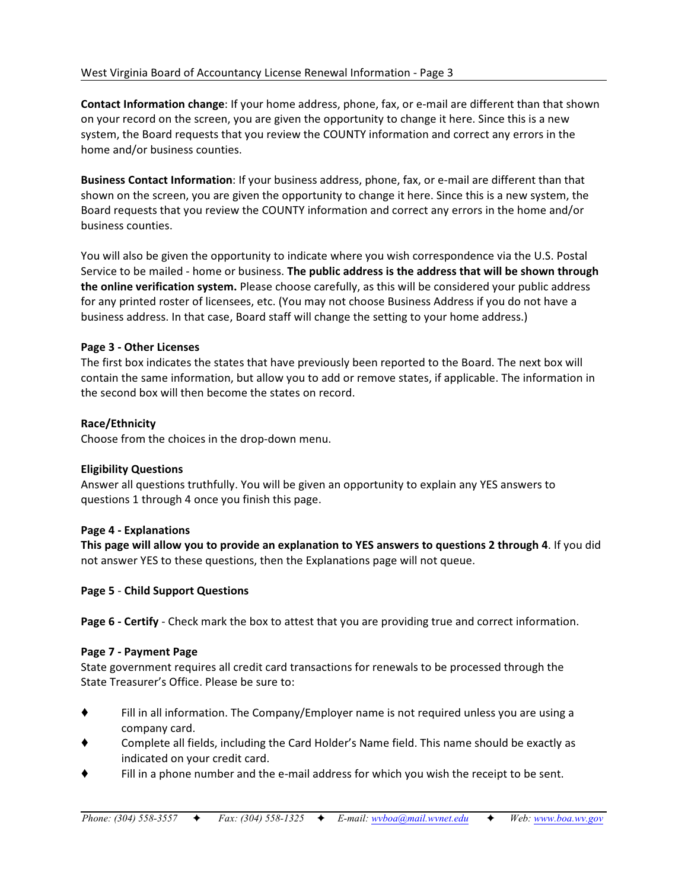**Contact Information change**: If your home address, phone, fax, or e-mail are different than that shown on your record on the screen, you are given the opportunity to change it here. Since this is a new system, the Board requests that you review the COUNTY information and correct any errors in the home and/or business counties.

**Business Contact Information**: If your business address, phone, fax, or e-mail are different than that shown on the screen, you are given the opportunity to change it here. Since this is a new system, the Board requests that you review the COUNTY information and correct any errors in the home and/or business counties.

You will also be given the opportunity to indicate where you wish correspondence via the U.S. Postal Service to be mailed - home or business. **The public address is the address that will be shown through the online verification system.** Please choose carefully, as this will be considered your public address for any printed roster of licensees, etc. (You may not choose Business Address if you do not have a business address. In that case, Board staff will change the setting to your home address.)

# **Page 3 - Other Licenses**

The first box indicates the states that have previously been reported to the Board. The next box will contain the same information, but allow you to add or remove states, if applicable. The information in the second box will then become the states on record.

# **Race/Ethnicity**

Choose from the choices in the drop-down menu.

# **Eligibility Questions**

Answer all questions truthfully. You will be given an opportunity to explain any YES answers to questions 1 through 4 once you finish this page.

# **Page 4 - Explanations**

**This page will allow you to provide an explanation to YES answers to questions 2 through 4**. If you did not answer YES to these questions, then the Explanations page will not queue.

# **Page 5** - **Child Support Questions**

**Page 6 - Certify** - Check mark the box to attest that you are providing true and correct information.

# **Page 7 - Payment Page**

State government requires all credit card transactions for renewals to be processed through the State Treasurer's Office. Please be sure to:

- Fill in all information. The Company/Employer name is not required unless you are using a company card.
- Complete all fields, including the Card Holder's Name field. This name should be exactly as indicated on your credit card.
- Fill in a phone number and the e-mail address for which you wish the receipt to be sent.